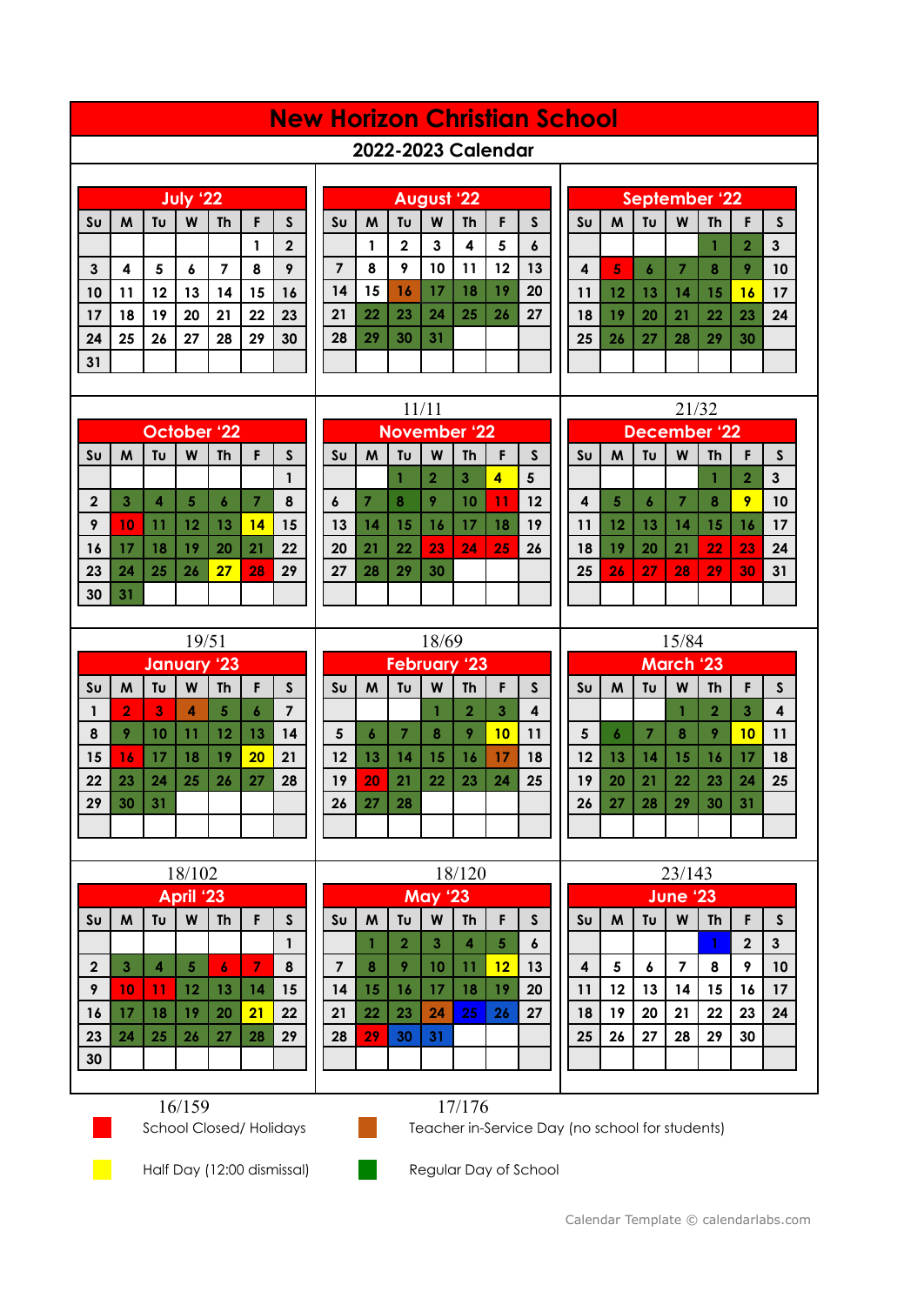## **New Horizon Christian School**

## **2022-2023 Calendar**

| July '22       |    |    |                  |           |    |              |  |  |
|----------------|----|----|------------------|-----------|----|--------------|--|--|
| S <sub>U</sub> | M  | Tυ | W                | <b>Th</b> | F  | S            |  |  |
|                |    |    |                  |           |    | $\mathbf{2}$ |  |  |
| $\mathbf{3}$   | 4  | 5  | $\boldsymbol{6}$ | 7         | 8  | 9            |  |  |
| 10             | 11 | 12 | 13               | 14        | 15 | 16           |  |  |
| 17             | 18 | 19 | 20               | 21        | 22 | 23           |  |  |
| 24             | 25 | 26 | 27               | 28        | 29 | 30           |  |  |
| 31             |    |    |                  |           |    |              |  |  |

|                | <b>August '22</b> |             |    |           |    |                  |  |  |  |
|----------------|-------------------|-------------|----|-----------|----|------------------|--|--|--|
| S <sub>U</sub> | M                 | Tυ          | W  | <b>Th</b> | F  | S                |  |  |  |
|                |                   | $\mathbf 2$ | 3  | 4         | 5  | $\boldsymbol{6}$ |  |  |  |
| $\overline{7}$ | 8                 | 9           | 10 | 11        | 12 | 13               |  |  |  |
| 14             | 15                | 16          | 17 | 18        | 19 | 20               |  |  |  |
| 21             | 22                | 23          | 24 | 25        | 26 | 27               |  |  |  |
| 28             | 29                | 30          | 31 |           |    |                  |  |  |  |
|                |                   |             |    |           |    |                  |  |  |  |

|                | September '22                                  |                |    |    |                |    |  |  |  |
|----------------|------------------------------------------------|----------------|----|----|----------------|----|--|--|--|
| S <sub>U</sub> | Tυ<br>$\mathsf{s}$<br>W<br>M<br><b>Th</b><br>F |                |    |    |                |    |  |  |  |
|                |                                                |                |    |    | $\overline{2}$ | 3  |  |  |  |
| 4              | 5                                              | $\overline{6}$ | 7  | 8  | 9              | 10 |  |  |  |
| 11             | 12                                             | 13             | 14 | 15 | 16             | 17 |  |  |  |
| 18             | 19                                             | 20             | 21 | 22 | 23             | 24 |  |  |  |
| 25             | 26                                             | 27             | 28 | 29 | 30             |    |  |  |  |
|                |                                                |                |    |    |                |    |  |  |  |

| <b>October '22</b> |    |    |    |    |    |              |  |  |
|--------------------|----|----|----|----|----|--------------|--|--|
| S <sub>U</sub>     | M  | Tυ | W  | Th | F  | $\mathsf{s}$ |  |  |
|                    |    |    |    |    |    |              |  |  |
| $\mathbf 2$        | 3  | 4  | 5  | 6  |    | 8            |  |  |
| 9                  | 10 | 11 | 12 | 13 | 14 | 15           |  |  |
| 16                 | 17 | 18 | 19 | 20 | 21 | 22           |  |  |
| 23                 | 24 | 25 | 26 | 27 | 28 | 29           |  |  |
| 30                 | 31 |    |    |    |    |              |  |  |

|                                                       | 11/11 |    |    |                     |    |    |  |  |  |
|-------------------------------------------------------|-------|----|----|---------------------|----|----|--|--|--|
|                                                       |       |    |    | <b>November '22</b> |    |    |  |  |  |
| Tυ<br>S <sub>U</sub><br>M<br>W<br><b>Th</b><br>S<br>F |       |    |    |                     |    |    |  |  |  |
|                                                       |       |    | 2  | 3                   | 4  | 5  |  |  |  |
| 6                                                     | 7     | 8  | 9  | 10                  | 11 | 12 |  |  |  |
| 13                                                    | 14    | 15 | 16 | 17                  | 18 | 19 |  |  |  |
| 20                                                    | 21    | 22 | 23 | 24                  | 25 | 26 |  |  |  |
| 27                                                    | 28    | 29 | 30 |                     |    |    |  |  |  |
|                                                       |       |    |    |                     |    |    |  |  |  |

|                         | 21/32                                          |    |    |    |                |    |  |  |  |
|-------------------------|------------------------------------------------|----|----|----|----------------|----|--|--|--|
|                         | December '22                                   |    |    |    |                |    |  |  |  |
| S <sub>U</sub>          | M<br>Tυ<br>$\mathsf{s}$<br>W<br><b>Th</b><br>F |    |    |    |                |    |  |  |  |
|                         |                                                |    |    |    | $\overline{2}$ | 3  |  |  |  |
| $\overline{\mathbf{4}}$ | 5                                              | 6  | 7  | 8  | 9              | 10 |  |  |  |
| 11                      | 12                                             | 13 | 14 | 15 | 16             | 17 |  |  |  |
| 18                      | 19                                             | 20 | 21 | 22 | 23             | 24 |  |  |  |
| 25                      | 29<br>31<br>27<br>30<br>26<br>$\overline{28}$  |    |    |    |                |    |  |  |  |
|                         |                                                |    |    |    |                |    |  |  |  |
|                         |                                                |    |    |    |                |    |  |  |  |

| 19/51          |    |    |    |    |    |    |  |  |
|----------------|----|----|----|----|----|----|--|--|
| January '23    |    |    |    |    |    |    |  |  |
| S <sub>U</sub> | M  | Tυ | W  | Th | F  | S  |  |  |
|                | 2  | 3  | 4  | 5  | 6  | 7  |  |  |
| 8              | 9  | 10 | 11 | 12 | 13 | 14 |  |  |
| 15             | 16 | 17 | 18 | 19 | 20 | 21 |  |  |
| 22             | 23 | 24 | 25 | 26 | 27 | 28 |  |  |
| 29             | 30 | 31 |    |    |    |    |  |  |
|                |    |    |    |    |    |    |  |  |

| 18/69                   |                                                |    |    |                |    |    |  |  |  |
|-------------------------|------------------------------------------------|----|----|----------------|----|----|--|--|--|
| <b>February '23</b>     |                                                |    |    |                |    |    |  |  |  |
| S <sub>U</sub>          | M<br>Tυ<br>F<br>$\mathsf{s}$<br>W<br><b>Th</b> |    |    |                |    |    |  |  |  |
|                         |                                                |    |    | $\overline{2}$ | 3  | 4  |  |  |  |
| $\overline{\mathbf{5}}$ | 6                                              | 7  | 8  | 9              | 10 | 11 |  |  |  |
| 12                      | 13                                             | 14 | 15 | 16             | 17 | 18 |  |  |  |
| 19                      | 20                                             | 21 | 22 | 23             | 24 | 25 |  |  |  |
| 26                      | 27                                             | 28 |    |                |    |    |  |  |  |
|                         |                                                |    |    |                |    |    |  |  |  |

| 15/84          |    |    |    |                |    |              |  |  |
|----------------|----|----|----|----------------|----|--------------|--|--|
| March '23      |    |    |    |                |    |              |  |  |
| S <sub>U</sub> | M  | Tu | W  | <b>Th</b>      | F  | $\mathsf{s}$ |  |  |
|                |    |    |    | $\overline{2}$ | 3  | 4            |  |  |
| $5\phantom{a}$ | 6  | 7  | 8  | 9              | 10 | 11           |  |  |
| 12             | 13 | 14 | 15 | 16             | 17 | 18           |  |  |
| 19             | 20 | 21 | 22 | 23             | 24 | 25           |  |  |
| 26             | 27 | 28 | 29 | 30             | 31 |              |  |  |
|                |    |    |    |                |    |              |  |  |

|                | 18/102 |    |           |    |    |              |  |  |  |
|----------------|--------|----|-----------|----|----|--------------|--|--|--|
|                |        |    | April '23 |    |    |              |  |  |  |
| S <sub>U</sub> | M      | Tυ | W         | Th | F  | $\mathsf{s}$ |  |  |  |
|                |        |    |           |    |    | 1            |  |  |  |
| $\bf{2}$       | 3      | 4  | 5         | 6  | 7  | 8            |  |  |  |
| 9              | 10     | 11 | 12        | 13 | 14 | 15           |  |  |  |
| 16             | 17     | 18 | 19        | 20 | 21 | 22           |  |  |  |
| 23             | 24     | 25 | 26        | 27 | 28 | 29           |  |  |  |
| 30             |        |    |           |    |    |              |  |  |  |

| 18/120 |                |    |           |                |              |  |  |  |
|--------|----------------|----|-----------|----------------|--------------|--|--|--|
|        |                |    |           |                |              |  |  |  |
| M      | Tυ             | W  | <b>Th</b> | F              | $\mathsf{s}$ |  |  |  |
|        | $\overline{2}$ | 3  | 4         | 5              | 6            |  |  |  |
| 8      | 9              | 10 | 11        | 12             | 13           |  |  |  |
| 15     | 16             | 17 | 18        | 19             | 20           |  |  |  |
| 22     | 23             | 24 | 25        | 26             | 27           |  |  |  |
| 29     | 30             | 31 |           |                |              |  |  |  |
|        |                |    |           |                |              |  |  |  |
|        |                |    |           | <b>May '23</b> |              |  |  |  |

| 23/143                  |                 |    |                |           |             |             |  |  |  |
|-------------------------|-----------------|----|----------------|-----------|-------------|-------------|--|--|--|
|                         | <b>June '23</b> |    |                |           |             |             |  |  |  |
| S <sub>U</sub>          | M               | Tυ | W              | <b>Th</b> | F           | $\mathsf S$ |  |  |  |
|                         |                 |    |                | 1         | $\mathbf 2$ | 3           |  |  |  |
| $\overline{\mathbf{4}}$ | 5               | 6  | $\overline{7}$ | 8         | 9           | 10          |  |  |  |
| 11                      | 12              | 13 | 14             | 15        | 16          | 17          |  |  |  |
| 18                      | 19              | 20 | 21             | 22        | 23          | 24          |  |  |  |
| 25                      | 26              | 27 | 28             | 29        | 30          |             |  |  |  |
|                         |                 |    |                |           |             |             |  |  |  |





School Closed/ Holidays Teacher in-Service Day (no school for students)

Half Day (12:00 dismissal) Regular Day of School